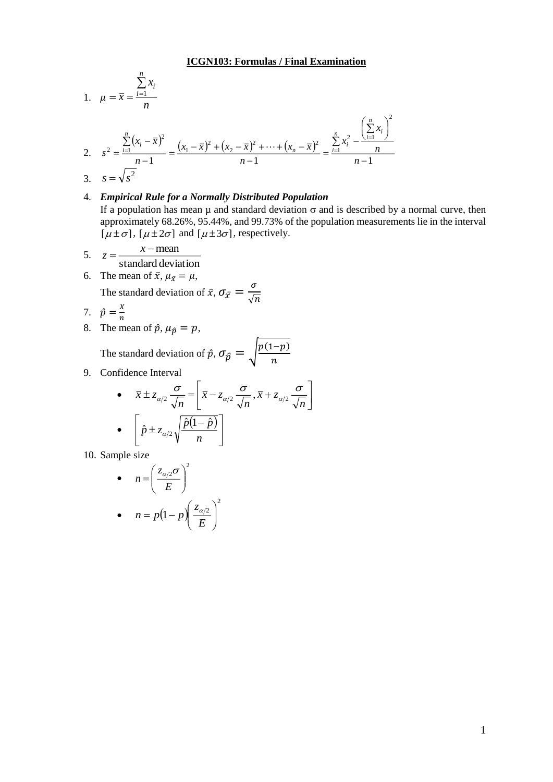1. 
$$
\mu = \overline{x} = \frac{\sum_{i=1}^{n} x_i}{n}
$$

2. 
$$
s^{2} = \frac{\sum_{i=1}^{n} (x_{i} - \overline{x})^{2}}{n-1} = \frac{(x_{1} - \overline{x})^{2} + (x_{2} - \overline{x})^{2} + \dots + (x_{n} - \overline{x})^{2}}{n-1} = \frac{\sum_{i=1}^{n} x_{i}^{2} - \frac{\left(\sum_{i=1}^{n} x_{i}\right)^{2}}{n}}{n-1}
$$
  
3. 
$$
s = \sqrt{s^{2}}
$$

## 4. *Empirical Rule for a Normally Distributed Population*

If a population has mean  $\mu$  and standard deviation  $\sigma$  and is described by a normal curve, then approximately 68.26%, 95.44%, and 99.73% of the population measurements lie in the interval  $[\mu \pm \sigma]$ ,  $[\mu \pm 2\sigma]$  and  $[\mu \pm 3\sigma]$ , respectively.

- 5.  $z = \frac{x}{\text{standard deviation}}$  $=\frac{x - \text{mean}}{2}$ *x z*
- 6. The mean of  $\bar{x}$ ,  $\mu_{\bar{x}} = \mu$ , The standard deviation of  $\bar{x}$ ,  $\sigma_{\bar{x}} = \frac{\sigma}{\sqrt{2}}$  $\sqrt{n}$ <br>*X*

$$
7. \quad \hat{p} = \frac{x}{n}
$$

8. The mean of  $\hat{p}$ ,  $\mu_{\hat{p}} = p$ ,

The standard deviation of  $\hat{p}$ ,  $\sigma_{\hat{p}} = \sqrt{\frac{p(1-p)}{n}}$  $\boldsymbol{n}$ 

9. Confidence Interval

• 
$$
\bar{x} \pm z_{\alpha/2} \frac{\sigma}{\sqrt{n}} = \left[ \bar{x} - z_{\alpha/2} \frac{\sigma}{\sqrt{n}}, \bar{x} + z_{\alpha/2} \frac{\sigma}{\sqrt{n}} \right]
$$
  
\n•  $\left[ \hat{p} \pm z_{\alpha/2} \sqrt{\frac{\hat{p}(1-\hat{p})}{n}} \right]$ 

10. Sample size

• 
$$
n = \left(\frac{z_{\alpha/2}\sigma}{E}\right)^2
$$
  
• 
$$
n = p(1-p)\left(\frac{z_{\alpha/2}}{E}\right)^2
$$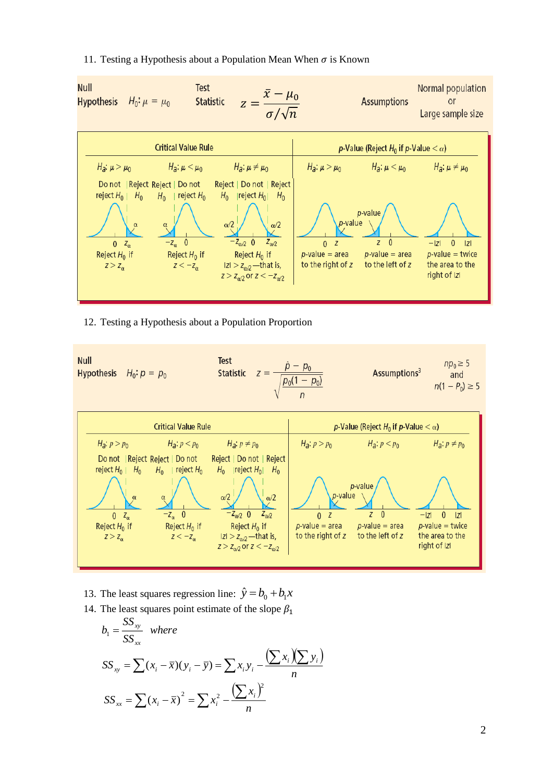## 11. Testing a Hypothesis about a Population Mean When  $\sigma$  is Known



## 12. Testing a Hypothesis about a Population Proportion



- 13. The least squares regression line:  $\hat{y} = b_0 + b_1 x$
- 14. The least squares point estimate of the slope  $\beta_1$

$$
b_1 = \frac{SS_{xy}}{SS_{xx}} \text{ where}
$$
  
\n
$$
SS_{xy} = \sum (x_i - \overline{x})(y_i - \overline{y}) = \sum x_i y_i - \frac{(\sum x_i)(\sum y_i)}{n}
$$
  
\n
$$
SS_{xx} = \sum (x_i - \overline{x})^2 = \sum x_i^2 - \frac{(\sum x_i)^2}{n}
$$